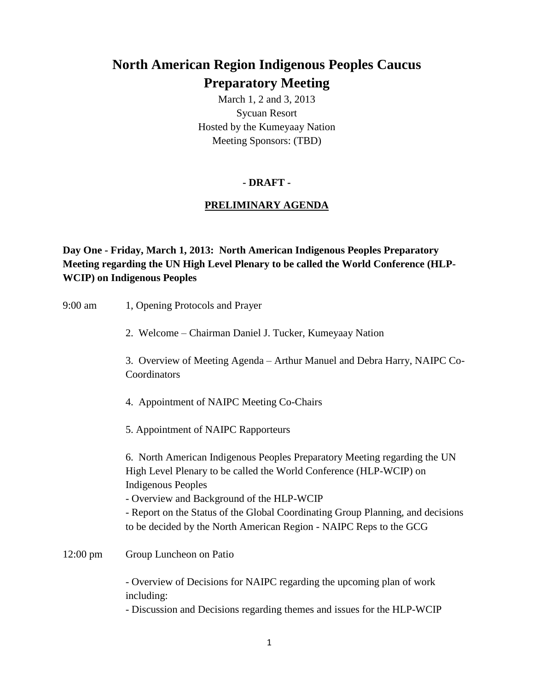# **North American Region Indigenous Peoples Caucus Preparatory Meeting**

March 1, 2 and 3, 2013 Sycuan Resort Hosted by the Kumeyaay Nation Meeting Sponsors: (TBD)

# **- DRAFT -**

# **PRELIMINARY AGENDA**

**Day One - Friday, March 1, 2013: North American Indigenous Peoples Preparatory Meeting regarding the UN High Level Plenary to be called the World Conference (HLP-WCIP) on Indigenous Peoples**

| 9:00 am            | 1, Opening Protocols and Prayer                                                                                                                                                                                                                                                                                                                                                    |
|--------------------|------------------------------------------------------------------------------------------------------------------------------------------------------------------------------------------------------------------------------------------------------------------------------------------------------------------------------------------------------------------------------------|
|                    | 2. Welcome – Chairman Daniel J. Tucker, Kumeyaay Nation                                                                                                                                                                                                                                                                                                                            |
|                    | 3. Overview of Meeting Agenda – Arthur Manuel and Debra Harry, NAIPC Co-<br>Coordinators                                                                                                                                                                                                                                                                                           |
|                    | 4. Appointment of NAIPC Meeting Co-Chairs                                                                                                                                                                                                                                                                                                                                          |
|                    | 5. Appointment of NAIPC Rapporteurs                                                                                                                                                                                                                                                                                                                                                |
|                    | 6. North American Indigenous Peoples Preparatory Meeting regarding the UN<br>High Level Plenary to be called the World Conference (HLP-WCIP) on<br><b>Indigenous Peoples</b><br>- Overview and Background of the HLP-WCIP<br>- Report on the Status of the Global Coordinating Group Planning, and decisions<br>to be decided by the North American Region - NAIPC Reps to the GCG |
| $12:00 \text{ pm}$ | Group Luncheon on Patio                                                                                                                                                                                                                                                                                                                                                            |
|                    | - Overview of Decisions for NAIPC regarding the upcoming plan of work<br>including:<br>- Discussion and Decisions regarding themes and issues for the HLP-WCIP                                                                                                                                                                                                                     |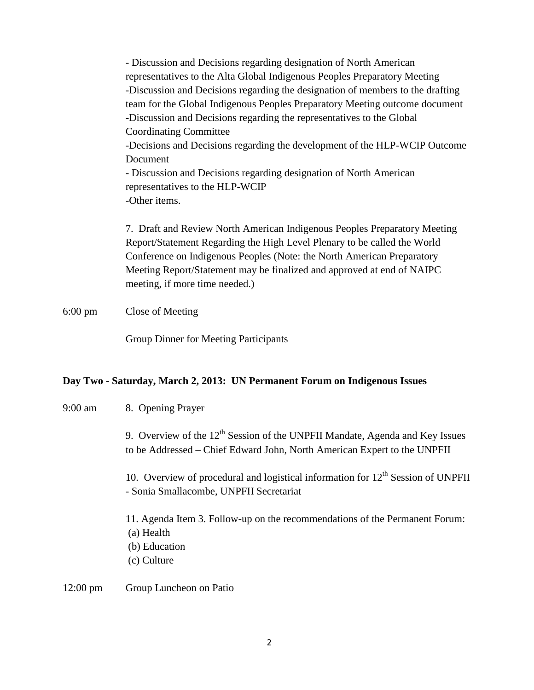- Discussion and Decisions regarding designation of North American representatives to the Alta Global Indigenous Peoples Preparatory Meeting -Discussion and Decisions regarding the designation of members to the drafting team for the Global Indigenous Peoples Preparatory Meeting outcome document -Discussion and Decisions regarding the representatives to the Global Coordinating Committee -Decisions and Decisions regarding the development of the HLP-WCIP Outcome Document - Discussion and Decisions regarding designation of North American representatives to the HLP-WCIP -Other items.

7. Draft and Review North American Indigenous Peoples Preparatory Meeting Report/Statement Regarding the High Level Plenary to be called the World Conference on Indigenous Peoples (Note: the North American Preparatory Meeting Report/Statement may be finalized and approved at end of NAIPC meeting, if more time needed.)

## 6:00 pm Close of Meeting

Group Dinner for Meeting Participants

### **Day Two - Saturday, March 2, 2013: UN Permanent Forum on Indigenous Issues**

| $9:00 \text{ am}$  | 8. Opening Prayer                                                                                                                                          |
|--------------------|------------------------------------------------------------------------------------------------------------------------------------------------------------|
|                    | 9. Overview of the $12th$ Session of the UNPFII Mandate, Agenda and Key Issues<br>to be Addressed – Chief Edward John, North American Expert to the UNPFII |
|                    | 10. Overview of procedural and logistical information for $12th$ Session of UNPFII<br>- Sonia Smallacombe, UNPFII Secretariat                              |
|                    | 11. Agenda Item 3. Follow-up on the recommendations of the Permanent Forum:<br>(a) Health<br>(b) Education<br>(c) Culture                                  |
| $12:00 \text{ pm}$ | Group Luncheon on Patio                                                                                                                                    |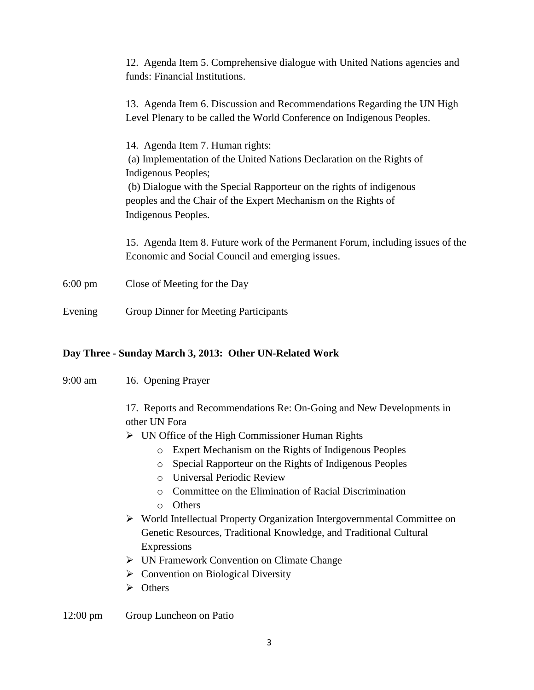|                   | 12. Agenda Item 5. Comprehensive dialogue with United Nations agencies and<br>funds: Financial Institutions.                                                                                                                                                                                      |
|-------------------|---------------------------------------------------------------------------------------------------------------------------------------------------------------------------------------------------------------------------------------------------------------------------------------------------|
|                   | 13. Agenda Item 6. Discussion and Recommendations Regarding the UN High<br>Level Plenary to be called the World Conference on Indigenous Peoples.                                                                                                                                                 |
|                   | 14. Agenda Item 7. Human rights:<br>(a) Implementation of the United Nations Declaration on the Rights of<br>Indigenous Peoples;<br>(b) Dialogue with the Special Rapporteur on the rights of indigenous<br>peoples and the Chair of the Expert Mechanism on the Rights of<br>Indigenous Peoples. |
|                   | 15. Agenda Item 8. Future work of the Permanent Forum, including issues of the<br>Economic and Social Council and emerging issues.                                                                                                                                                                |
| $6:00 \text{ pm}$ | Close of Meeting for the Day                                                                                                                                                                                                                                                                      |
| Evening           | <b>Group Dinner for Meeting Participants</b>                                                                                                                                                                                                                                                      |

### **Day Three - Sunday March 3, 2013: Other UN-Related Work**

9:00 am 16. Opening Prayer

17. Reports and Recommendations Re: On-Going and New Developments in other UN Fora

UN Office of the High Commissioner Human Rights

- o Expert Mechanism on the Rights of Indigenous Peoples
- o Special Rapporteur on the Rights of Indigenous Peoples
- o Universal Periodic Review
- o Committee on the Elimination of Racial Discrimination
- o Others
- World Intellectual Property Organization Intergovernmental Committee on Genetic Resources, Traditional Knowledge, and Traditional Cultural Expressions
- UN Framework Convention on Climate Change
- Convention on Biological Diversity
- $\triangleright$  Others

12:00 pm Group Luncheon on Patio